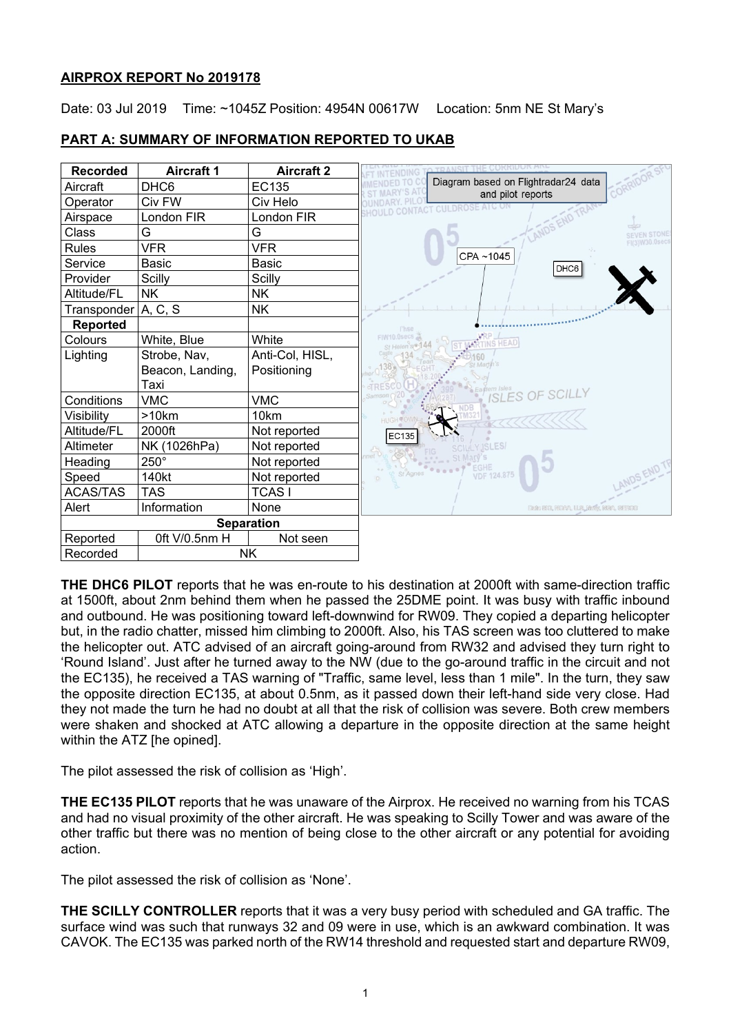# **AIRPROX REPORT No 2019178**

Date: 03 Jul 2019 Time: ~1045Z Position: 4954N 00617W Location: 5nm NE St Mary's

## **PART A: SUMMARY OF INFORMATION REPORTED TO UKAB**



**THE DHC6 PILOT** reports that he was en-route to his destination at 2000ft with same-direction traffic at 1500ft, about 2nm behind them when he passed the 25DME point. It was busy with traffic inbound and outbound. He was positioning toward left-downwind for RW09. They copied a departing helicopter but, in the radio chatter, missed him climbing to 2000ft. Also, his TAS screen was too cluttered to make the helicopter out. ATC advised of an aircraft going-around from RW32 and advised they turn right to 'Round Island'. Just after he turned away to the NW (due to the go-around traffic in the circuit and not the EC135), he received a TAS warning of "Traffic, same level, less than 1 mile". In the turn, they saw the opposite direction EC135, at about 0.5nm, as it passed down their left-hand side very close. Had they not made the turn he had no doubt at all that the risk of collision was severe. Both crew members were shaken and shocked at ATC allowing a departure in the opposite direction at the same height within the ATZ [he opined].

The pilot assessed the risk of collision as 'High'.

**THE EC135 PILOT** reports that he was unaware of the Airprox. He received no warning from his TCAS and had no visual proximity of the other aircraft. He was speaking to Scilly Tower and was aware of the other traffic but there was no mention of being close to the other aircraft or any potential for avoiding action.

The pilot assessed the risk of collision as 'None'.

**THE SCILLY CONTROLLER** reports that it was a very busy period with scheduled and GA traffic. The surface wind was such that runways 32 and 09 were in use, which is an awkward combination. It was CAVOK. The EC135 was parked north of the RW14 threshold and requested start and departure RW09,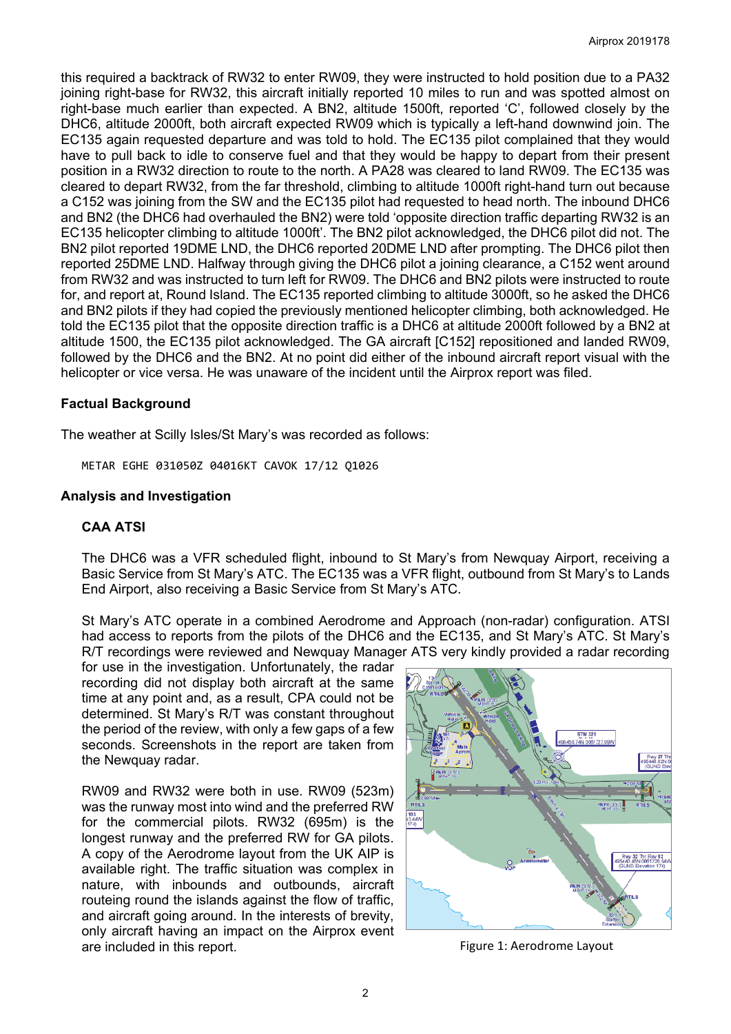this required a backtrack of RW32 to enter RW09, they were instructed to hold position due to a PA32 joining right-base for RW32, this aircraft initially reported 10 miles to run and was spotted almost on right-base much earlier than expected. A BN2, altitude 1500ft, reported 'C', followed closely by the DHC6, altitude 2000ft, both aircraft expected RW09 which is typically a left-hand downwind join. The EC135 again requested departure and was told to hold. The EC135 pilot complained that they would have to pull back to idle to conserve fuel and that they would be happy to depart from their present position in a RW32 direction to route to the north. A PA28 was cleared to land RW09. The EC135 was cleared to depart RW32, from the far threshold, climbing to altitude 1000ft right-hand turn out because a C152 was joining from the SW and the EC135 pilot had requested to head north. The inbound DHC6 and BN2 (the DHC6 had overhauled the BN2) were told 'opposite direction traffic departing RW32 is an EC135 helicopter climbing to altitude 1000ft'. The BN2 pilot acknowledged, the DHC6 pilot did not. The BN2 pilot reported 19DME LND, the DHC6 reported 20DME LND after prompting. The DHC6 pilot then reported 25DME LND. Halfway through giving the DHC6 pilot a joining clearance, a C152 went around from RW32 and was instructed to turn left for RW09. The DHC6 and BN2 pilots were instructed to route for, and report at, Round Island. The EC135 reported climbing to altitude 3000ft, so he asked the DHC6 and BN2 pilots if they had copied the previously mentioned helicopter climbing, both acknowledged. He told the EC135 pilot that the opposite direction traffic is a DHC6 at altitude 2000ft followed by a BN2 at altitude 1500, the EC135 pilot acknowledged. The GA aircraft [C152] repositioned and landed RW09, followed by the DHC6 and the BN2. At no point did either of the inbound aircraft report visual with the helicopter or vice versa. He was unaware of the incident until the Airprox report was filed.

## **Factual Background**

The weather at Scilly Isles/St Mary's was recorded as follows:

METAR EGHE 031050Z 04016KT CAVOK 17/12 Q1026

## **Analysis and Investigation**

## **CAA ATSI**

The DHC6 was a VFR scheduled flight, inbound to St Mary's from Newquay Airport, receiving a Basic Service from St Mary's ATC. The EC135 was a VFR flight, outbound from St Mary's to Lands End Airport, also receiving a Basic Service from St Mary's ATC.

St Mary's ATC operate in a combined Aerodrome and Approach (non-radar) configuration. ATSI had access to reports from the pilots of the DHC6 and the EC135, and St Mary's ATC. St Mary's R/T recordings were reviewed and Newquay Manager ATS very kindly provided a radar recording

for use in the investigation. Unfortunately, the radar recording did not display both aircraft at the same time at any point and, as a result, CPA could not be determined. St Mary's R/T was constant throughout the period of the review, with only a few gaps of a few seconds. Screenshots in the report are taken from the Newquay radar.

RW09 and RW32 were both in use. RW09 (523m) was the runway most into wind and the preferred RW for the commercial pilots. RW32 (695m) is the longest runway and the preferred RW for GA pilots. A copy of the Aerodrome layout from the UK AIP is available right. The traffic situation was complex in nature, with inbounds and outbounds, aircraft routeing round the islands against the flow of traffic, and aircraft going around. In the interests of brevity, only aircraft having an impact on the Airprox event are included in this report. The state of the state of the Figure 1: Aerodrome Layout

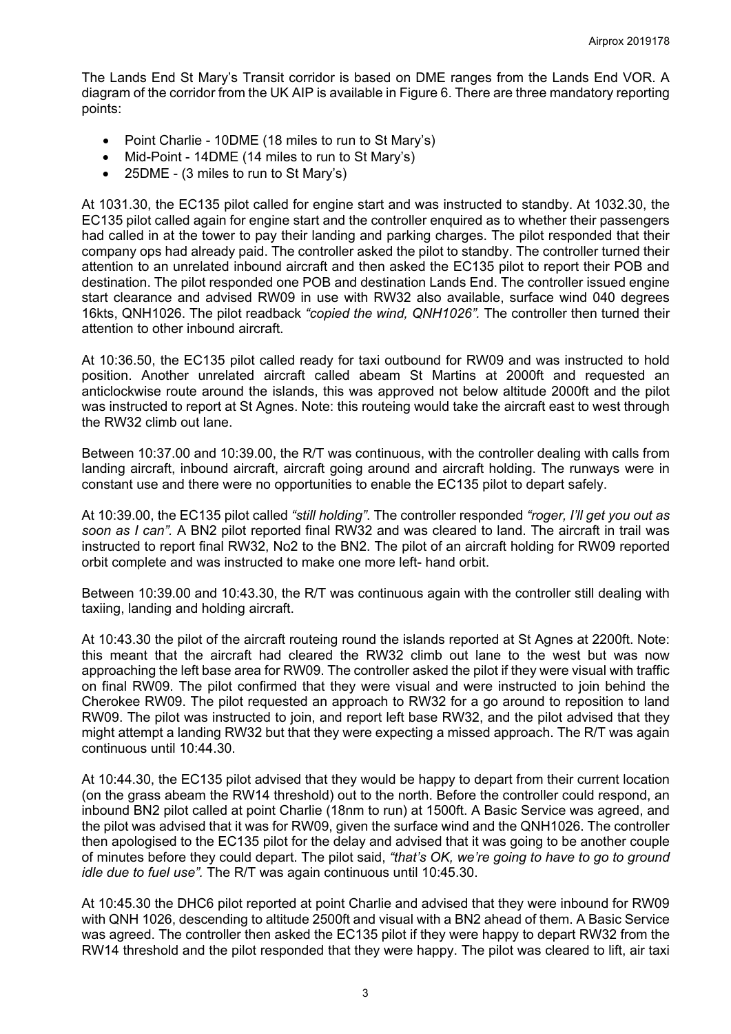The Lands End St Mary's Transit corridor is based on DME ranges from the Lands End VOR. A diagram of the corridor from the UK AIP is available in Figure 6. There are three mandatory reporting points:

- Point Charlie 10DME (18 miles to run to St Mary's)
- Mid-Point 14DME (14 miles to run to St Mary's)
- 25DME (3 miles to run to St Mary's)

At 1031.30, the EC135 pilot called for engine start and was instructed to standby. At 1032.30, the EC135 pilot called again for engine start and the controller enquired as to whether their passengers had called in at the tower to pay their landing and parking charges. The pilot responded that their company ops had already paid. The controller asked the pilot to standby. The controller turned their attention to an unrelated inbound aircraft and then asked the EC135 pilot to report their POB and destination. The pilot responded one POB and destination Lands End. The controller issued engine start clearance and advised RW09 in use with RW32 also available, surface wind 040 degrees 16kts, QNH1026. The pilot readback *"copied the wind, QNH1026".* The controller then turned their attention to other inbound aircraft.

At 10:36.50, the EC135 pilot called ready for taxi outbound for RW09 and was instructed to hold position. Another unrelated aircraft called abeam St Martins at 2000ft and requested an anticlockwise route around the islands, this was approved not below altitude 2000ft and the pilot was instructed to report at St Agnes. Note: this routeing would take the aircraft east to west through the RW32 climb out lane.

Between 10:37.00 and 10:39.00, the R/T was continuous, with the controller dealing with calls from landing aircraft, inbound aircraft, aircraft going around and aircraft holding. The runways were in constant use and there were no opportunities to enable the EC135 pilot to depart safely.

At 10:39.00, the EC135 pilot called *"still holding"*. The controller responded *"roger, I'll get you out as soon as I can".* A BN2 pilot reported final RW32 and was cleared to land. The aircraft in trail was instructed to report final RW32, No2 to the BN2. The pilot of an aircraft holding for RW09 reported orbit complete and was instructed to make one more left- hand orbit.

Between 10:39.00 and 10:43.30, the R/T was continuous again with the controller still dealing with taxiing, landing and holding aircraft.

At 10:43.30 the pilot of the aircraft routeing round the islands reported at St Agnes at 2200ft. Note: this meant that the aircraft had cleared the RW32 climb out lane to the west but was now approaching the left base area for RW09. The controller asked the pilot if they were visual with traffic on final RW09. The pilot confirmed that they were visual and were instructed to join behind the Cherokee RW09. The pilot requested an approach to RW32 for a go around to reposition to land RW09. The pilot was instructed to join, and report left base RW32, and the pilot advised that they might attempt a landing RW32 but that they were expecting a missed approach. The R/T was again continuous until 10:44.30.

At 10:44.30, the EC135 pilot advised that they would be happy to depart from their current location (on the grass abeam the RW14 threshold) out to the north. Before the controller could respond, an inbound BN2 pilot called at point Charlie (18nm to run) at 1500ft. A Basic Service was agreed, and the pilot was advised that it was for RW09, given the surface wind and the QNH1026. The controller then apologised to the EC135 pilot for the delay and advised that it was going to be another couple of minutes before they could depart. The pilot said, *"that's OK, we're going to have to go to ground idle due to fuel use".* The R/T was again continuous until 10:45.30.

At 10:45.30 the DHC6 pilot reported at point Charlie and advised that they were inbound for RW09 with QNH 1026, descending to altitude 2500ft and visual with a BN2 ahead of them. A Basic Service was agreed. The controller then asked the EC135 pilot if they were happy to depart RW32 from the RW14 threshold and the pilot responded that they were happy. The pilot was cleared to lift, air taxi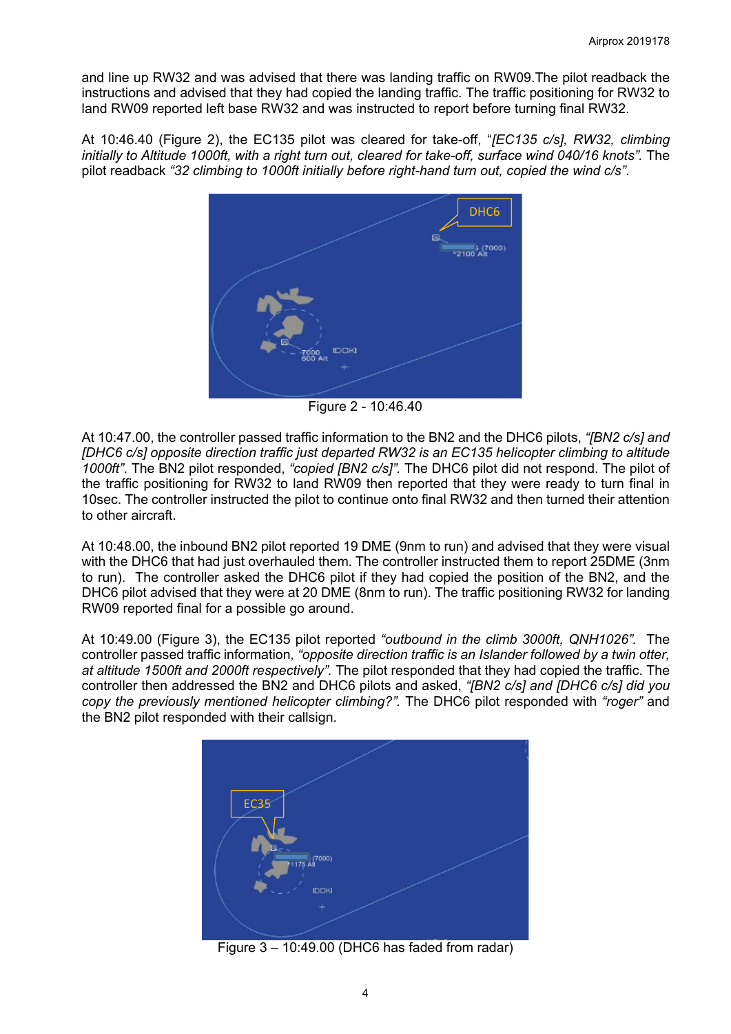and line up RW32 and was advised that there was landing traffic on RW09.The pilot readback the instructions and advised that they had copied the landing traffic. The traffic positioning for RW32 to land RW09 reported left base RW32 and was instructed to report before turning final RW32.

At 10:46.40 (Figure 2), the EC135 pilot was cleared for take-off, "*[EC135 c/s], RW32, climbing initially to Altitude 1000ft, with a right turn out, cleared for take-off, surface wind 040/16 knots".* The pilot readback *"32 climbing to 1000ft initially before right-hand turn out, copied the wind c/s"*.



Figure 2 - 10:46.40

At 10:47.00, the controller passed traffic information to the BN2 and the DHC6 pilots, *"[BN2 c/s] and [DHC6 c/s] opposite direction traffic just departed RW32 is an EC135 helicopter climbing to altitude 1000ft"*. The BN2 pilot responded, *"copied [BN2 c/s]".* The DHC6 pilot did not respond. The pilot of the traffic positioning for RW32 to land RW09 then reported that they were ready to turn final in 10sec. The controller instructed the pilot to continue onto final RW32 and then turned their attention to other aircraft.

At 10:48.00, the inbound BN2 pilot reported 19 DME (9nm to run) and advised that they were visual with the DHC6 that had just overhauled them. The controller instructed them to report 25DME (3nm to run). The controller asked the DHC6 pilot if they had copied the position of the BN2, and the DHC6 pilot advised that they were at 20 DME (8nm to run). The traffic positioning RW32 for landing RW09 reported final for a possible go around.

At 10:49.00 (Figure 3), the EC135 pilot reported *"outbound in the climb 3000ft, QNH1026".* The controller passed traffic information*, "opposite direction traffic is an Islander followed by a twin otter, at altitude 1500ft and 2000ft respectively".* The pilot responded that they had copied the traffic. The controller then addressed the BN2 and DHC6 pilots and asked, *"[BN2 c/s] and [DHC6 c/s] did you copy the previously mentioned helicopter climbing?".* The DHC6 pilot responded with *"roger"* and the BN2 pilot responded with their callsign.



Figure 3 – 10:49.00 (DHC6 has faded from radar)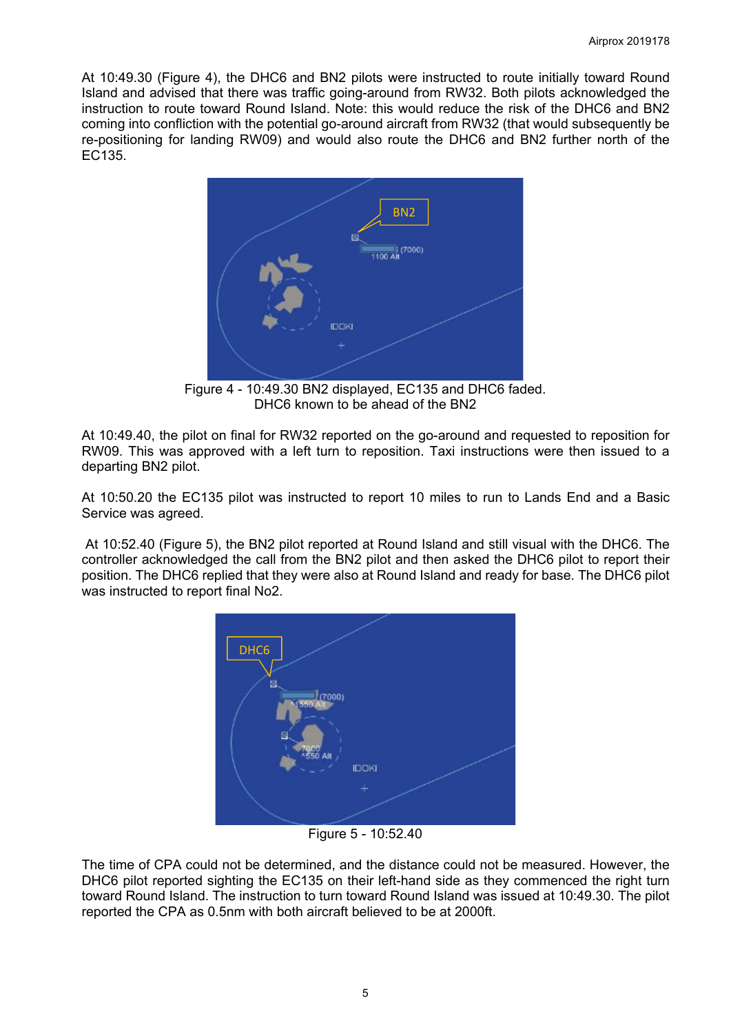At 10:49.30 (Figure 4), the DHC6 and BN2 pilots were instructed to route initially toward Round Island and advised that there was traffic going-around from RW32. Both pilots acknowledged the instruction to route toward Round Island. Note: this would reduce the risk of the DHC6 and BN2 coming into confliction with the potential go-around aircraft from RW32 (that would subsequently be re-positioning for landing RW09) and would also route the DHC6 and BN2 further north of the EC135.



Figure 4 - 10:49.30 BN2 displayed, EC135 and DHC6 faded. DHC6 known to be ahead of the BN2

At 10:49.40, the pilot on final for RW32 reported on the go-around and requested to reposition for RW09. This was approved with a left turn to reposition. Taxi instructions were then issued to a departing BN2 pilot.

At 10:50.20 the EC135 pilot was instructed to report 10 miles to run to Lands End and a Basic Service was agreed.

At 10:52.40 (Figure 5), the BN2 pilot reported at Round Island and still visual with the DHC6. The controller acknowledged the call from the BN2 pilot and then asked the DHC6 pilot to report their position. The DHC6 replied that they were also at Round Island and ready for base. The DHC6 pilot was instructed to report final No2.



Figure 5 - 10:52.40

The time of CPA could not be determined, and the distance could not be measured. However, the DHC6 pilot reported sighting the EC135 on their left-hand side as they commenced the right turn toward Round Island. The instruction to turn toward Round Island was issued at 10:49.30. The pilot reported the CPA as 0.5nm with both aircraft believed to be at 2000ft.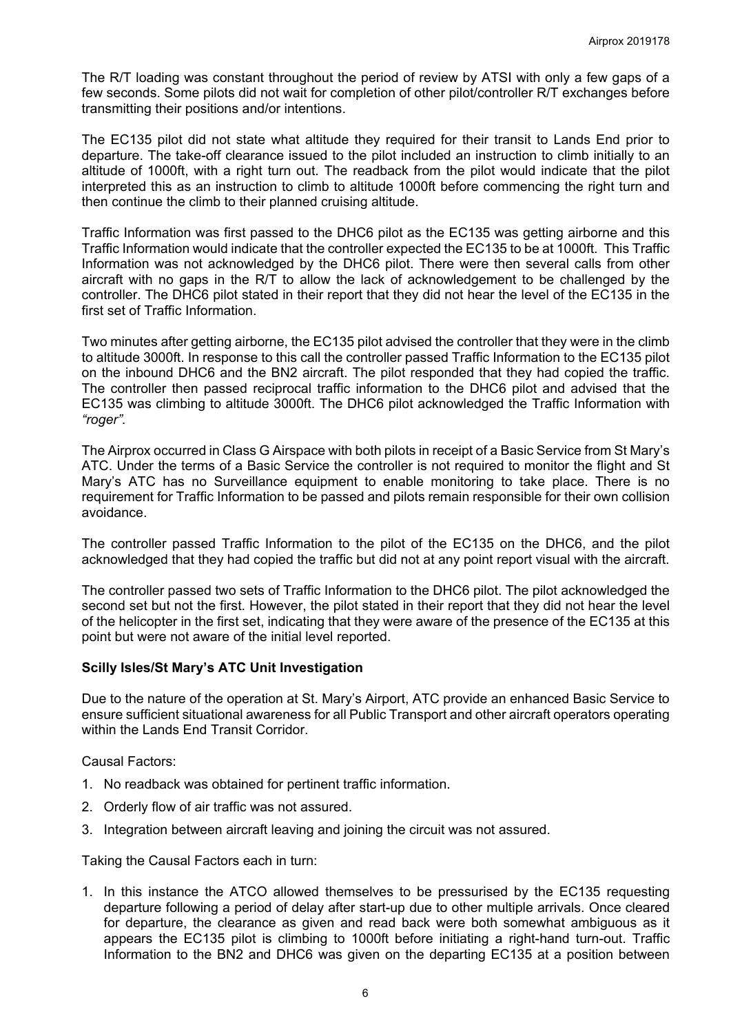The R/T loading was constant throughout the period of review by ATSI with only a few gaps of a few seconds. Some pilots did not wait for completion of other pilot/controller R/T exchanges before transmitting their positions and/or intentions.

The EC135 pilot did not state what altitude they required for their transit to Lands End prior to departure. The take-off clearance issued to the pilot included an instruction to climb initially to an altitude of 1000ft, with a right turn out. The readback from the pilot would indicate that the pilot interpreted this as an instruction to climb to altitude 1000ft before commencing the right turn and then continue the climb to their planned cruising altitude.

Traffic Information was first passed to the DHC6 pilot as the EC135 was getting airborne and this Traffic Information would indicate that the controller expected the EC135 to be at 1000ft. This Traffic Information was not acknowledged by the DHC6 pilot. There were then several calls from other aircraft with no gaps in the R/T to allow the lack of acknowledgement to be challenged by the controller. The DHC6 pilot stated in their report that they did not hear the level of the EC135 in the first set of Traffic Information.

Two minutes after getting airborne, the EC135 pilot advised the controller that they were in the climb to altitude 3000ft. In response to this call the controller passed Traffic Information to the EC135 pilot on the inbound DHC6 and the BN2 aircraft. The pilot responded that they had copied the traffic. The controller then passed reciprocal traffic information to the DHC6 pilot and advised that the EC135 was climbing to altitude 3000ft. The DHC6 pilot acknowledged the Traffic Information with *"roger".*

The Airprox occurred in Class G Airspace with both pilots in receipt of a Basic Service from St Mary's ATC. Under the terms of a Basic Service the controller is not required to monitor the flight and St Mary's ATC has no Surveillance equipment to enable monitoring to take place. There is no requirement for Traffic Information to be passed and pilots remain responsible for their own collision avoidance.

The controller passed Traffic Information to the pilot of the EC135 on the DHC6, and the pilot acknowledged that they had copied the traffic but did not at any point report visual with the aircraft.

The controller passed two sets of Traffic Information to the DHC6 pilot. The pilot acknowledged the second set but not the first. However, the pilot stated in their report that they did not hear the level of the helicopter in the first set, indicating that they were aware of the presence of the EC135 at this point but were not aware of the initial level reported.

#### **Scilly Isles/St Mary's ATC Unit Investigation**

Due to the nature of the operation at St. Mary's Airport, ATC provide an enhanced Basic Service to ensure sufficient situational awareness for all Public Transport and other aircraft operators operating within the Lands End Transit Corridor.

#### Causal Factors:

- 1. No readback was obtained for pertinent traffic information.
- 2. Orderly flow of air traffic was not assured.
- 3. Integration between aircraft leaving and joining the circuit was not assured.

Taking the Causal Factors each in turn:

1. In this instance the ATCO allowed themselves to be pressurised by the EC135 requesting departure following a period of delay after start-up due to other multiple arrivals. Once cleared for departure, the clearance as given and read back were both somewhat ambiguous as it appears the EC135 pilot is climbing to 1000ft before initiating a right-hand turn-out. Traffic Information to the BN2 and DHC6 was given on the departing EC135 at a position between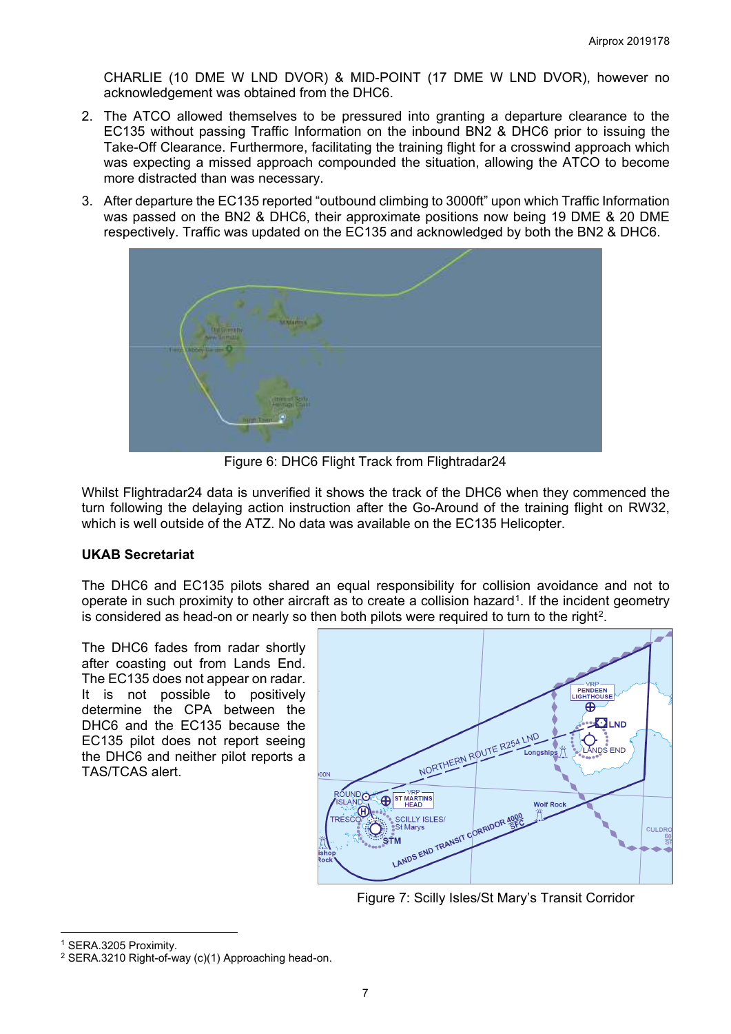CHARLIE (10 DME W LND DVOR) & MID-POINT (17 DME W LND DVOR), however no acknowledgement was obtained from the DHC6.

- 2. The ATCO allowed themselves to be pressured into granting a departure clearance to the EC135 without passing Traffic Information on the inbound BN2 & DHC6 prior to issuing the Take-Off Clearance. Furthermore, facilitating the training flight for a crosswind approach which was expecting a missed approach compounded the situation, allowing the ATCO to become more distracted than was necessary.
- 3. After departure the EC135 reported "outbound climbing to 3000ft" upon which Traffic Information was passed on the BN2 & DHC6, their approximate positions now being 19 DME & 20 DME respectively. Traffic was updated on the EC135 and acknowledged by both the BN2 & DHC6.



Figure 6: DHC6 Flight Track from Flightradar24

Whilst Flightradar24 data is unverified it shows the track of the DHC6 when they commenced the turn following the delaying action instruction after the Go-Around of the training flight on RW32, which is well outside of the ATZ. No data was available on the EC135 Helicopter.

# **UKAB Secretariat**

The DHC6 and EC135 pilots shared an equal responsibility for collision avoidance and not to operate in such proximity to other aircraft as to create a collision hazard[1.](#page-6-0) If the incident geometry is considered as head-on or nearly so then both pilots were required to turn to the right<sup>2</sup>.

The DHC6 fades from radar shortly after coasting out from Lands End. The EC135 does not appear on radar. It is not possible to positively determine the CPA between the DHC6 and the EC135 because the EC135 pilot does not report seeing the DHC6 and neither pilot reports a TAS/TCAS alert.



Figure 7: Scilly Isles/St Mary's Transit Corridor

 $\overline{\phantom{a}}$ 

<span id="page-6-0"></span><sup>1</sup> SERA.3205 Proximity.

<span id="page-6-1"></span><sup>2</sup> SERA.3210 Right-of-way (c)(1) Approaching head-on.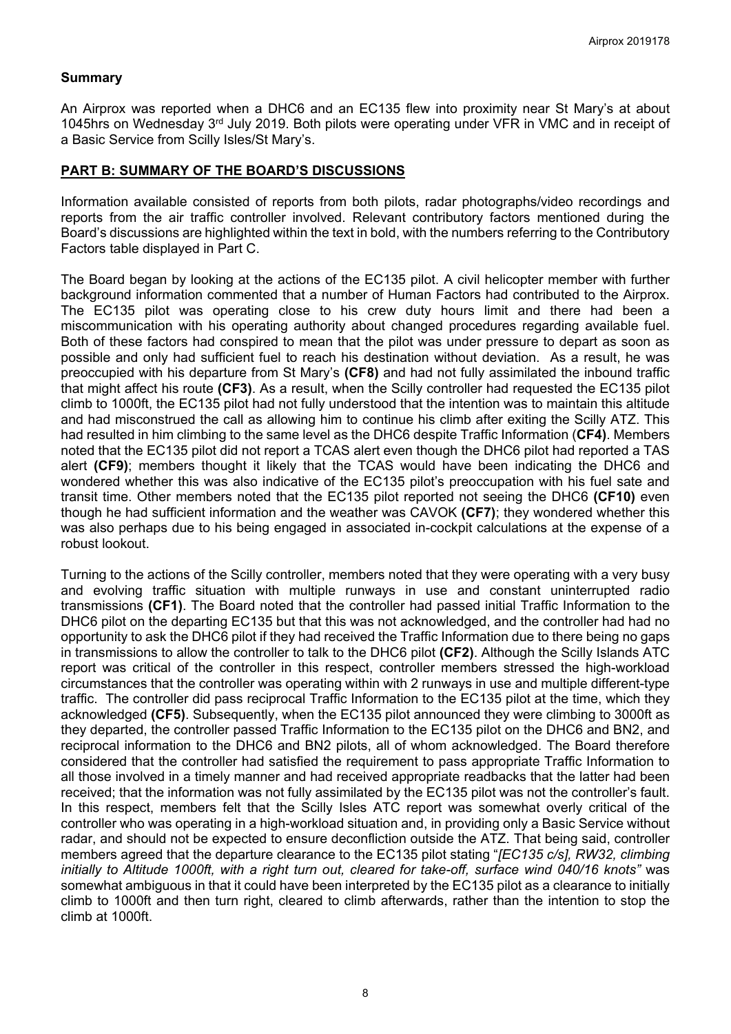## **Summary**

An Airprox was reported when a DHC6 and an EC135 flew into proximity near St Mary's at about 1045hrs on Wednesday 3rd July 2019. Both pilots were operating under VFR in VMC and in receipt of a Basic Service from Scilly Isles/St Mary's.

### **PART B: SUMMARY OF THE BOARD'S DISCUSSIONS**

Information available consisted of reports from both pilots, radar photographs/video recordings and reports from the air traffic controller involved. Relevant contributory factors mentioned during the Board's discussions are highlighted within the text in bold, with the numbers referring to the Contributory Factors table displayed in Part C.

The Board began by looking at the actions of the EC135 pilot. A civil helicopter member with further background information commented that a number of Human Factors had contributed to the Airprox. The EC135 pilot was operating close to his crew duty hours limit and there had been a miscommunication with his operating authority about changed procedures regarding available fuel. Both of these factors had conspired to mean that the pilot was under pressure to depart as soon as possible and only had sufficient fuel to reach his destination without deviation. As a result, he was preoccupied with his departure from St Mary's **(CF8)** and had not fully assimilated the inbound traffic that might affect his route **(CF3)**. As a result, when the Scilly controller had requested the EC135 pilot climb to 1000ft, the EC135 pilot had not fully understood that the intention was to maintain this altitude and had misconstrued the call as allowing him to continue his climb after exiting the Scilly ATZ. This had resulted in him climbing to the same level as the DHC6 despite Traffic Information (**CF4)**. Members noted that the EC135 pilot did not report a TCAS alert even though the DHC6 pilot had reported a TAS alert **(CF9)**; members thought it likely that the TCAS would have been indicating the DHC6 and wondered whether this was also indicative of the EC135 pilot's preoccupation with his fuel sate and transit time. Other members noted that the EC135 pilot reported not seeing the DHC6 **(CF10)** even though he had sufficient information and the weather was CAVOK **(CF7)**; they wondered whether this was also perhaps due to his being engaged in associated in-cockpit calculations at the expense of a robust lookout.

Turning to the actions of the Scilly controller, members noted that they were operating with a very busy and evolving traffic situation with multiple runways in use and constant uninterrupted radio transmissions **(CF1)**. The Board noted that the controller had passed initial Traffic Information to the DHC6 pilot on the departing EC135 but that this was not acknowledged, and the controller had had no opportunity to ask the DHC6 pilot if they had received the Traffic Information due to there being no gaps in transmissions to allow the controller to talk to the DHC6 pilot **(CF2)**. Although the Scilly Islands ATC report was critical of the controller in this respect, controller members stressed the high-workload circumstances that the controller was operating within with 2 runways in use and multiple different-type traffic. The controller did pass reciprocal Traffic Information to the EC135 pilot at the time, which they acknowledged **(CF5)**. Subsequently, when the EC135 pilot announced they were climbing to 3000ft as they departed, the controller passed Traffic Information to the EC135 pilot on the DHC6 and BN2, and reciprocal information to the DHC6 and BN2 pilots, all of whom acknowledged. The Board therefore considered that the controller had satisfied the requirement to pass appropriate Traffic Information to all those involved in a timely manner and had received appropriate readbacks that the latter had been received; that the information was not fully assimilated by the EC135 pilot was not the controller's fault. In this respect, members felt that the Scilly Isles ATC report was somewhat overly critical of the controller who was operating in a high-workload situation and, in providing only a Basic Service without radar, and should not be expected to ensure deconfliction outside the ATZ. That being said, controller members agreed that the departure clearance to the EC135 pilot stating "*[EC135 c/s], RW32, climbing initially to Altitude 1000ft, with a right turn out, cleared for take-off, surface wind 040/16 knots"* was somewhat ambiguous in that it could have been interpreted by the EC135 pilot as a clearance to initially climb to 1000ft and then turn right, cleared to climb afterwards, rather than the intention to stop the climb at 1000ft.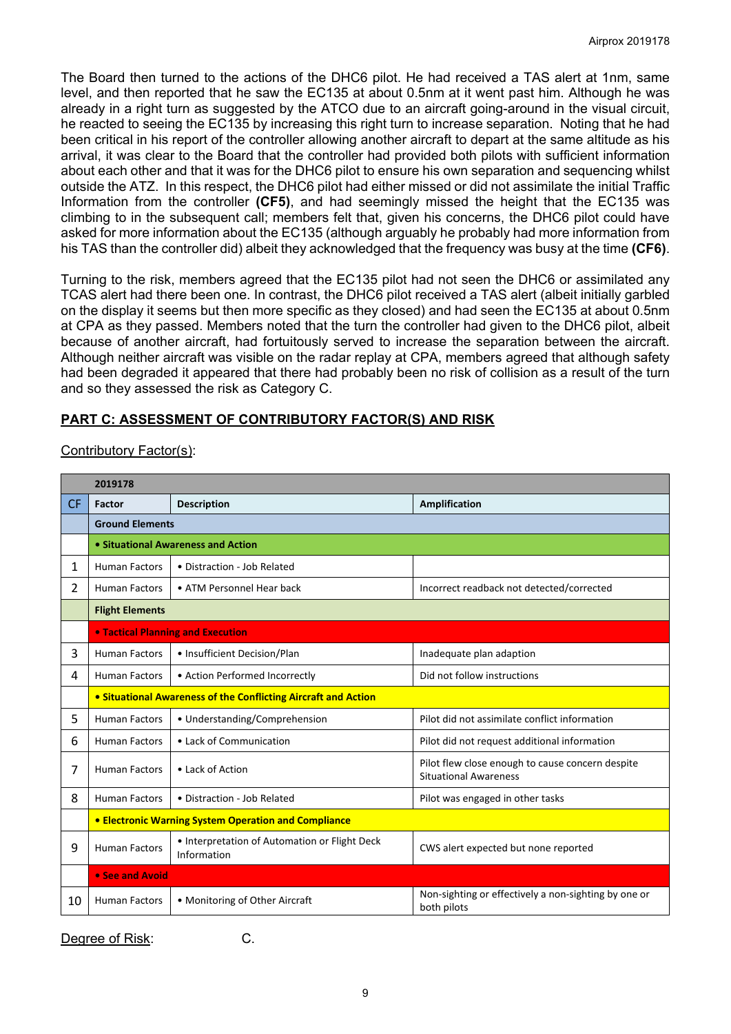The Board then turned to the actions of the DHC6 pilot. He had received a TAS alert at 1nm, same level, and then reported that he saw the EC135 at about 0.5nm at it went past him. Although he was already in a right turn as suggested by the ATCO due to an aircraft going-around in the visual circuit, he reacted to seeing the EC135 by increasing this right turn to increase separation. Noting that he had been critical in his report of the controller allowing another aircraft to depart at the same altitude as his arrival, it was clear to the Board that the controller had provided both pilots with sufficient information about each other and that it was for the DHC6 pilot to ensure his own separation and sequencing whilst outside the ATZ. In this respect, the DHC6 pilot had either missed or did not assimilate the initial Traffic Information from the controller **(CF5)**, and had seemingly missed the height that the EC135 was climbing to in the subsequent call; members felt that, given his concerns, the DHC6 pilot could have asked for more information about the EC135 (although arguably he probably had more information from his TAS than the controller did) albeit they acknowledged that the frequency was busy at the time **(CF6)**.

Turning to the risk, members agreed that the EC135 pilot had not seen the DHC6 or assimilated any TCAS alert had there been one. In contrast, the DHC6 pilot received a TAS alert (albeit initially garbled on the display it seems but then more specific as they closed) and had seen the EC135 at about 0.5nm at CPA as they passed. Members noted that the turn the controller had given to the DHC6 pilot, albeit because of another aircraft, had fortuitously served to increase the separation between the aircraft. Although neither aircraft was visible on the radar replay at CPA, members agreed that although safety had been degraded it appeared that there had probably been no risk of collision as a result of the turn and so they assessed the risk as Category C.

# **PART C: ASSESSMENT OF CONTRIBUTORY FACTOR(S) AND RISK**

|                | 2019178                                                        |                                                              |                                                                                  |  |  |  |  |  |  |
|----------------|----------------------------------------------------------------|--------------------------------------------------------------|----------------------------------------------------------------------------------|--|--|--|--|--|--|
| <b>CF</b>      | Factor                                                         | <b>Description</b>                                           | Amplification                                                                    |  |  |  |  |  |  |
|                | <b>Ground Elements</b>                                         |                                                              |                                                                                  |  |  |  |  |  |  |
|                | • Situational Awareness and Action                             |                                                              |                                                                                  |  |  |  |  |  |  |
| 1              | <b>Human Factors</b>                                           | • Distraction - Job Related                                  |                                                                                  |  |  |  |  |  |  |
| $\overline{2}$ | <b>Human Factors</b>                                           | • ATM Personnel Hear back                                    | Incorrect readback not detected/corrected                                        |  |  |  |  |  |  |
|                | <b>Flight Elements</b>                                         |                                                              |                                                                                  |  |  |  |  |  |  |
|                | <b>. Tactical Planning and Execution</b>                       |                                                              |                                                                                  |  |  |  |  |  |  |
| 3              | <b>Human Factors</b>                                           | • Insufficient Decision/Plan                                 | Inadequate plan adaption                                                         |  |  |  |  |  |  |
| 4              | <b>Human Factors</b>                                           | • Action Performed Incorrectly                               | Did not follow instructions                                                      |  |  |  |  |  |  |
|                | • Situational Awareness of the Conflicting Aircraft and Action |                                                              |                                                                                  |  |  |  |  |  |  |
| 5.             | <b>Human Factors</b>                                           | • Understanding/Comprehension                                | Pilot did not assimilate conflict information                                    |  |  |  |  |  |  |
| 6              | <b>Human Factors</b>                                           | • Lack of Communication                                      | Pilot did not request additional information                                     |  |  |  |  |  |  |
| 7              | <b>Human Factors</b>                                           | • Lack of Action                                             | Pilot flew close enough to cause concern despite<br><b>Situational Awareness</b> |  |  |  |  |  |  |
| 8              | <b>Human Factors</b>                                           | • Distraction - Job Related                                  | Pilot was engaged in other tasks                                                 |  |  |  |  |  |  |
|                | <b>• Electronic Warning System Operation and Compliance</b>    |                                                              |                                                                                  |  |  |  |  |  |  |
| 9              | <b>Human Factors</b>                                           | • Interpretation of Automation or Flight Deck<br>Information | CWS alert expected but none reported                                             |  |  |  |  |  |  |
|                | • See and Avoid                                                |                                                              |                                                                                  |  |  |  |  |  |  |
| 10             | <b>Human Factors</b>                                           | • Monitoring of Other Aircraft                               | Non-sighting or effectively a non-sighting by one or<br>both pilots              |  |  |  |  |  |  |

# Contributory Factor(s):

Degree of Risk: C.